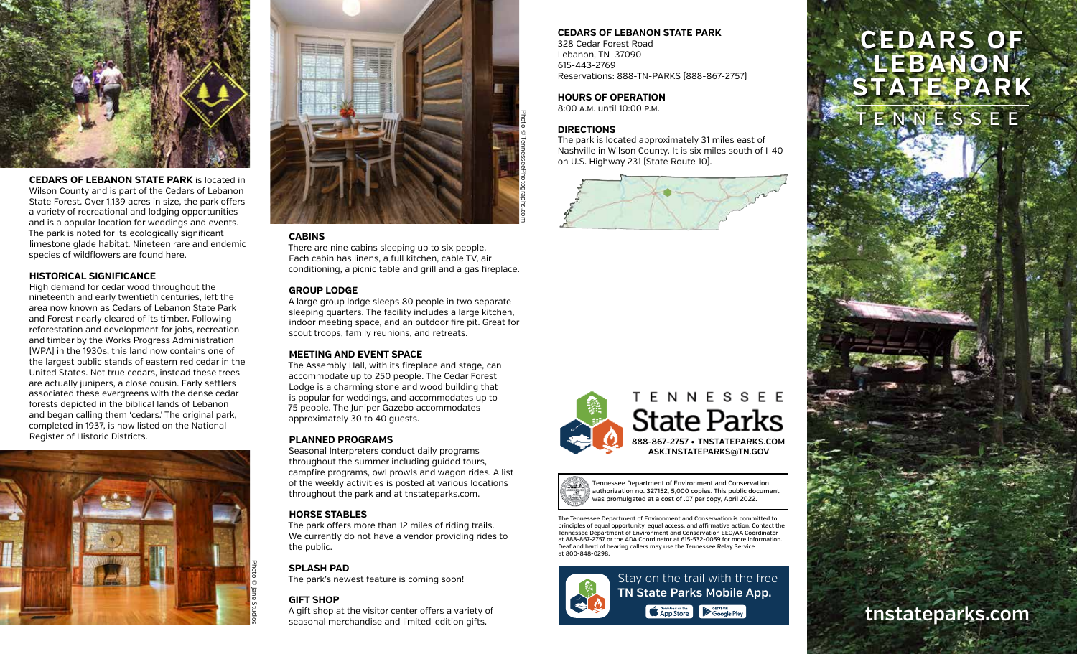

**CEDARS OF LEBANON STATE PARK** is located in Wilson County and is part of the Cedars of Lebanon State Forest. Over 1,139 acres in size, the park offers a variety of recreational and lodging opportunities and is a popular location for weddings and events. The park is noted for its ecologically significant limestone glade habitat. Nineteen rare and endemic species of wildflowers are found here.

### **HISTORICAL SIGNIFICANCE**

High demand for cedar wood throughout the nineteenth and early twentieth centuries, left the area now known as Cedars of Lebanon State Park and Forest nearly cleared of its timber. Following reforestation and development for jobs, recreation and timber by the Works Progress Administration (WPA) in the 1930s, this land now contains one of the largest public stands of eastern red cedar in the United States. Not true cedars, instead these trees are actually junipers, a close cousin. Early settlers associated these evergreens with the dense cedar forests depicted in the biblical lands of Lebanon and began calling them 'cedars.' The original park, completed in 1937, is now listed on the National Register of Historic Districts.





## **CABINS**

There are nine cabins sleeping up to six people. Each cabin has linens, a full kitchen, cable TV, air conditioning, a picnic table and grill and a gas fireplace.

#### **GROUP LODGE**

A large group lodge sleeps 80 people in two separate sleeping quarters. The facility includes a large kitchen, indoor meeting space, and an outdoor fire pit. Great for scout troops, family reunions, and retreats.

## **MEETING AND EVENT SPACE**

The Assembly Hall, with its fireplace and stage, can accommodate up to 250 people. The Cedar Forest Lodge is a charming stone and wood building that is popular for weddings, and accommodates up to 75 people. The Juniper Gazebo accommodates approximately 30 to 40 guests.

#### **PLANNED PROGRAMS**

Seasonal Interpreters conduct daily programs throughout the summer including guided tours, campfire programs, owl prowls and wagon rides. A list of the weekly activities is posted at various locations throughout the park and at tnstateparks.com.

### **HORSE STABLES**

The park offers more than 12 miles of riding trails. We currently do not have a vendor providing rides to the public.

## **SPLASH PAD**

The park's newest feature is coming soon!

## **GIFT SHOP**

A gift shop at the visitor center offers a variety of seasonal merchandise and limited-edition gifts.

# **CEDARS OF LEBANON STATE PARK**

328 Cedar Forest Road Lebanon, TN 37090 615-443-2769 Reservations: 888-TN-PARKS (888-867-2757)

# **HOURS OF OPERATION**

8:00 a.m. until 10:00 p.m.

## **DIRECTIONS**

The park is located approximately 31 miles east of Nashville in Wilson County. It is six miles south of I-40 on U.S. Highway 231 (State Route 10).







Tennessee Department of Environment and Conservation authorization no. 327152, 5,000 copies. This public document was promulgated at a cost of .07 per copy, April 2022.

**Example 2** September 1997

The Tennessee Department of Environment and Conservation is committed to principles of equal opportunity, equal access, and affirmative action. Contact the Tennessee Department of Environment and Conservation EEO/AA Coordinator at 888-867-2757 or the ADA Coordinator at 615-532-0059 for more information. Deaf and hard of hearing callers may use the Tennessee Relay Service at 800-848-0298.



# **CEDARS OF LEBANON STATE PARK**

TENNESSEE